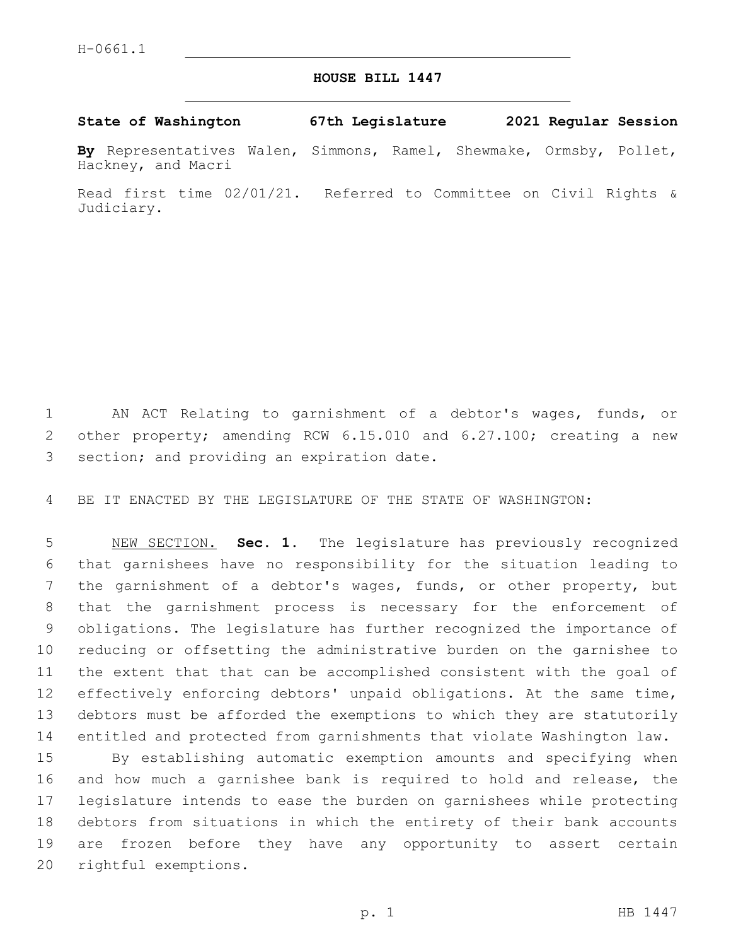## **HOUSE BILL 1447**

**State of Washington 67th Legislature 2021 Regular Session**

**By** Representatives Walen, Simmons, Ramel, Shewmake, Ormsby, Pollet, Hackney, and Macri

Read first time 02/01/21. Referred to Committee on Civil Rights & Judiciary.

 AN ACT Relating to garnishment of a debtor's wages, funds, or other property; amending RCW 6.15.010 and 6.27.100; creating a new 3 section; and providing an expiration date.

BE IT ENACTED BY THE LEGISLATURE OF THE STATE OF WASHINGTON:

 NEW SECTION. **Sec. 1.** The legislature has previously recognized that garnishees have no responsibility for the situation leading to the garnishment of a debtor's wages, funds, or other property, but that the garnishment process is necessary for the enforcement of obligations. The legislature has further recognized the importance of reducing or offsetting the administrative burden on the garnishee to the extent that that can be accomplished consistent with the goal of effectively enforcing debtors' unpaid obligations. At the same time, debtors must be afforded the exemptions to which they are statutorily entitled and protected from garnishments that violate Washington law.

 By establishing automatic exemption amounts and specifying when and how much a garnishee bank is required to hold and release, the legislature intends to ease the burden on garnishees while protecting debtors from situations in which the entirety of their bank accounts are frozen before they have any opportunity to assert certain 20 rightful exemptions.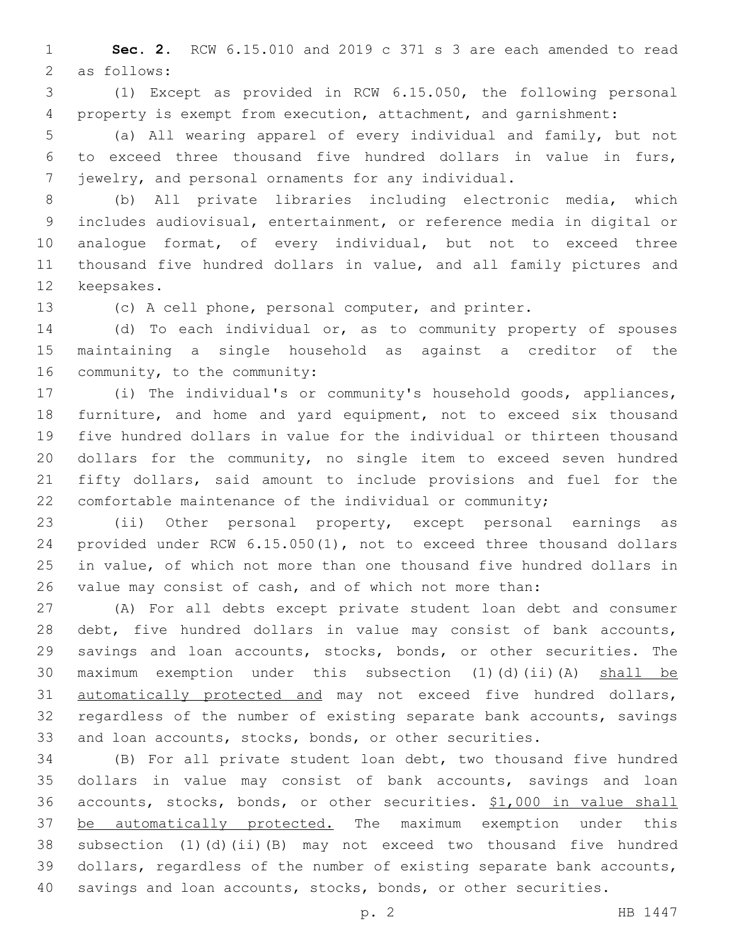**Sec. 2.** RCW 6.15.010 and 2019 c 371 s 3 are each amended to read 2 as follows:

 (1) Except as provided in RCW 6.15.050, the following personal property is exempt from execution, attachment, and garnishment:

 (a) All wearing apparel of every individual and family, but not to exceed three thousand five hundred dollars in value in furs, jewelry, and personal ornaments for any individual.

 (b) All private libraries including electronic media, which includes audiovisual, entertainment, or reference media in digital or analogue format, of every individual, but not to exceed three thousand five hundred dollars in value, and all family pictures and 12 keepsakes.

(c) A cell phone, personal computer, and printer.

 (d) To each individual or, as to community property of spouses maintaining a single household as against a creditor of the 16 community, to the community:

 (i) The individual's or community's household goods, appliances, furniture, and home and yard equipment, not to exceed six thousand five hundred dollars in value for the individual or thirteen thousand dollars for the community, no single item to exceed seven hundred fifty dollars, said amount to include provisions and fuel for the comfortable maintenance of the individual or community;

 (ii) Other personal property, except personal earnings as provided under RCW 6.15.050(1), not to exceed three thousand dollars in value, of which not more than one thousand five hundred dollars in value may consist of cash, and of which not more than:

 (A) For all debts except private student loan debt and consumer debt, five hundred dollars in value may consist of bank accounts, savings and loan accounts, stocks, bonds, or other securities. The 30 maximum exemption under this subsection (1)(d)(ii)(A) shall be automatically protected and may not exceed five hundred dollars, regardless of the number of existing separate bank accounts, savings and loan accounts, stocks, bonds, or other securities.

 (B) For all private student loan debt, two thousand five hundred dollars in value may consist of bank accounts, savings and loan accounts, stocks, bonds, or other securities. \$1,000 in value shall be automatically protected. The maximum exemption under this subsection (1)(d)(ii)(B) may not exceed two thousand five hundred dollars, regardless of the number of existing separate bank accounts, savings and loan accounts, stocks, bonds, or other securities.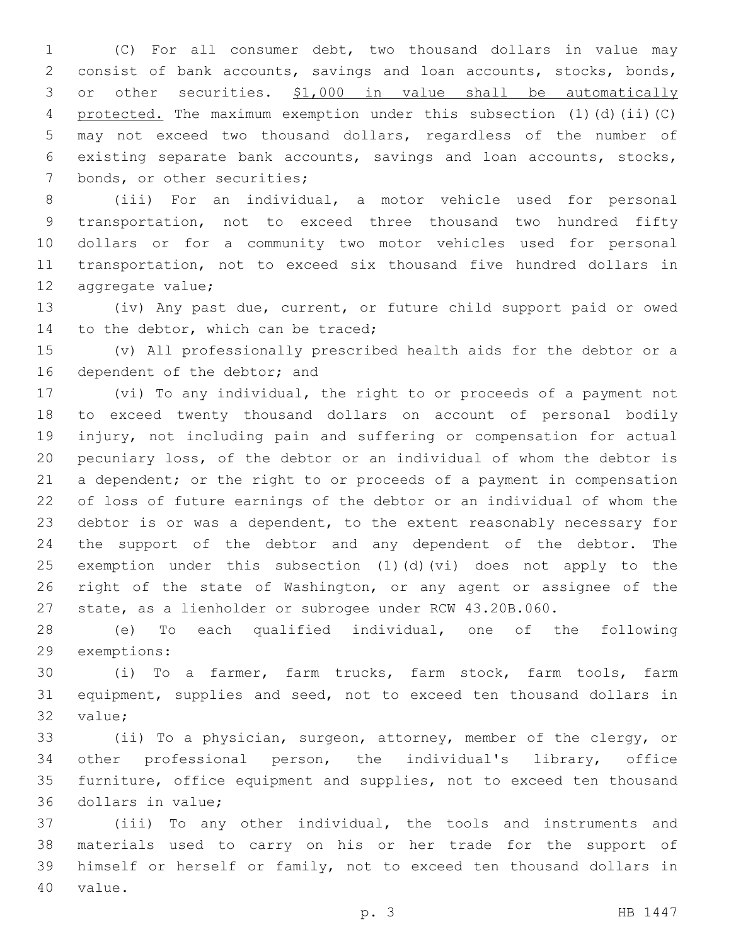(C) For all consumer debt, two thousand dollars in value may consist of bank accounts, savings and loan accounts, stocks, bonds, or other securities. \$1,000 in value shall be automatically protected. The maximum exemption under this subsection (1)(d)(ii)(C) may not exceed two thousand dollars, regardless of the number of existing separate bank accounts, savings and loan accounts, stocks, 7 bonds, or other securities;

 (iii) For an individual, a motor vehicle used for personal transportation, not to exceed three thousand two hundred fifty dollars or for a community two motor vehicles used for personal transportation, not to exceed six thousand five hundred dollars in 12 aggregate value;

 (iv) Any past due, current, or future child support paid or owed 14 to the debtor, which can be traced;

 (v) All professionally prescribed health aids for the debtor or a 16 dependent of the debtor; and

 (vi) To any individual, the right to or proceeds of a payment not to exceed twenty thousand dollars on account of personal bodily injury, not including pain and suffering or compensation for actual pecuniary loss, of the debtor or an individual of whom the debtor is a dependent; or the right to or proceeds of a payment in compensation of loss of future earnings of the debtor or an individual of whom the debtor is or was a dependent, to the extent reasonably necessary for the support of the debtor and any dependent of the debtor. The exemption under this subsection (1)(d)(vi) does not apply to the right of the state of Washington, or any agent or assignee of the state, as a lienholder or subrogee under RCW 43.20B.060.

 (e) To each qualified individual, one of the following 29 exemptions:

 (i) To a farmer, farm trucks, farm stock, farm tools, farm equipment, supplies and seed, not to exceed ten thousand dollars in 32 value;

 (ii) To a physician, surgeon, attorney, member of the clergy, or other professional person, the individual's library, office furniture, office equipment and supplies, not to exceed ten thousand 36 dollars in value;

 (iii) To any other individual, the tools and instruments and materials used to carry on his or her trade for the support of himself or herself or family, not to exceed ten thousand dollars in 40 value.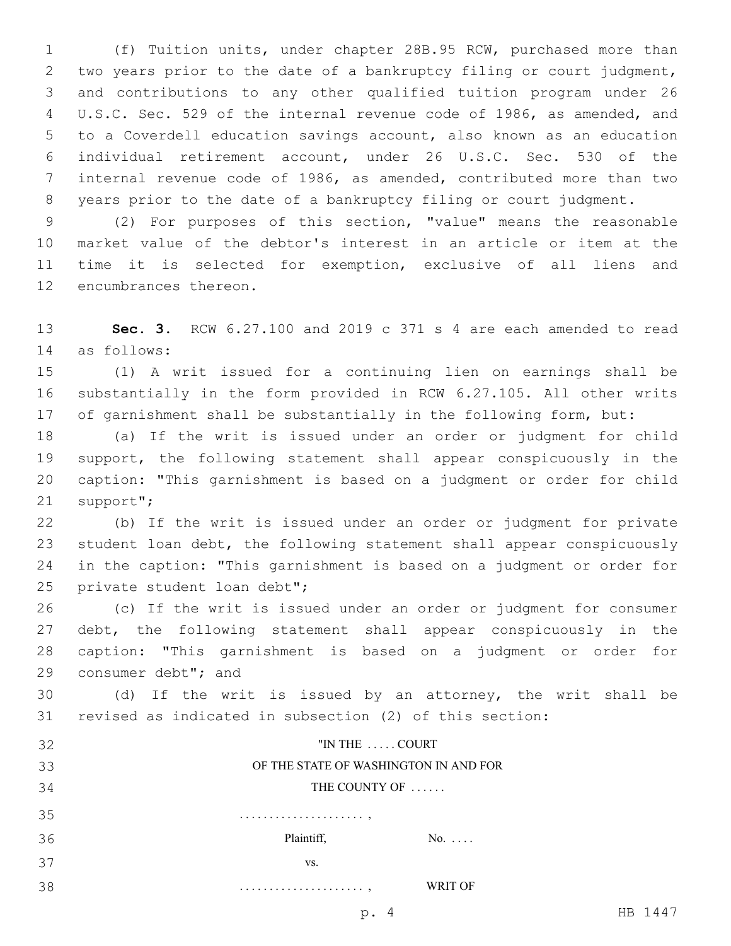(f) Tuition units, under chapter 28B.95 RCW, purchased more than two years prior to the date of a bankruptcy filing or court judgment, and contributions to any other qualified tuition program under 26 U.S.C. Sec. 529 of the internal revenue code of 1986, as amended, and to a Coverdell education savings account, also known as an education individual retirement account, under 26 U.S.C. Sec. 530 of the internal revenue code of 1986, as amended, contributed more than two years prior to the date of a bankruptcy filing or court judgment.

 (2) For purposes of this section, "value" means the reasonable market value of the debtor's interest in an article or item at the time it is selected for exemption, exclusive of all liens and 12 encumbrances thereon.

 **Sec. 3.** RCW 6.27.100 and 2019 c 371 s 4 are each amended to read as follows:14

 (1) A writ issued for a continuing lien on earnings shall be substantially in the form provided in RCW 6.27.105. All other writs of garnishment shall be substantially in the following form, but:

 (a) If the writ is issued under an order or judgment for child support, the following statement shall appear conspicuously in the caption: "This garnishment is based on a judgment or order for child 21 support";

 (b) If the writ is issued under an order or judgment for private student loan debt, the following statement shall appear conspicuously in the caption: "This garnishment is based on a judgment or order for 25 private student loan debt";

 (c) If the writ is issued under an order or judgment for consumer debt, the following statement shall appear conspicuously in the caption: "This garnishment is based on a judgment or order for 29 consumer debt"; and

 (d) If the writ is issued by an attorney, the writ shall be revised as indicated in subsection (2) of this section:

| 32 | "IN THE  COURT                        |  |  |  |  |  |  |  |
|----|---------------------------------------|--|--|--|--|--|--|--|
| 33 | OF THE STATE OF WASHINGTON IN AND FOR |  |  |  |  |  |  |  |
| 34 | THE COUNTY OF                         |  |  |  |  |  |  |  |
| 35 |                                       |  |  |  |  |  |  |  |
| 36 | Plaintiff,<br>$No. \ldots$            |  |  |  |  |  |  |  |
| 37 | VS.                                   |  |  |  |  |  |  |  |
| 38 | WRIT OF                               |  |  |  |  |  |  |  |

p. 4 HB 1447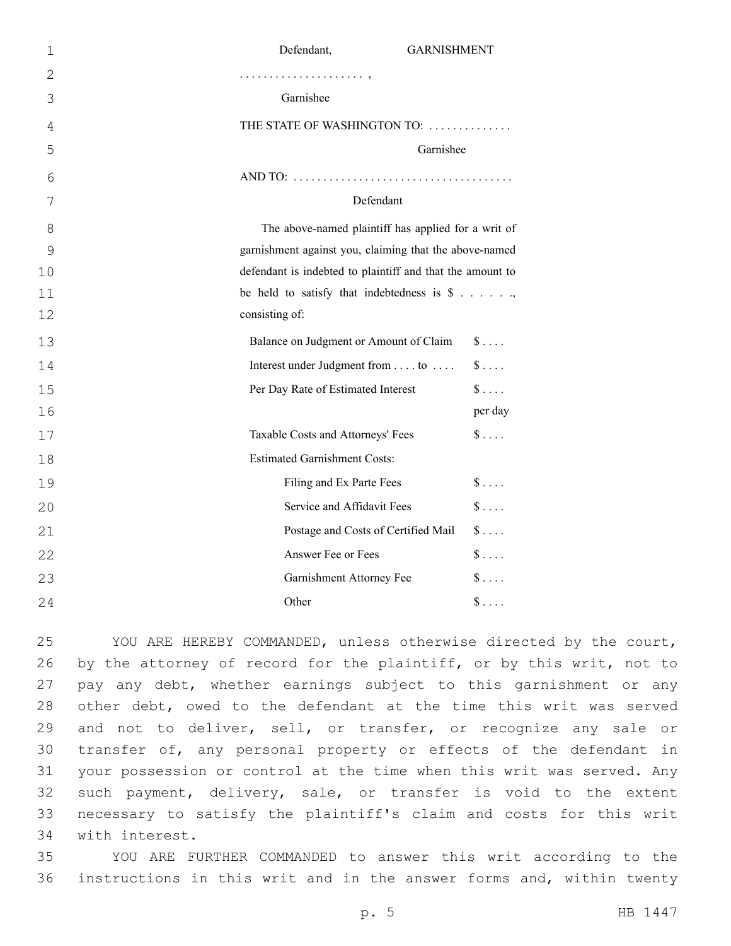| $\mathbf 1$    | Defendant,<br><b>GARNISHMENT</b>                          |
|----------------|-----------------------------------------------------------|
| $\overline{2}$ |                                                           |
| 3              | Garnishee                                                 |
| 4              | THE STATE OF WASHINGTON TO:                               |
| 5              | Garnishee                                                 |
| 6              |                                                           |
| 7              | Defendant                                                 |
| 8              | The above-named plaintiff has applied for a writ of       |
| 9              | garnishment against you, claiming that the above-named    |
| 10             | defendant is indebted to plaintiff and that the amount to |
| 11             | be held to satisfy that indebtedness is $\$\ldots$        |
| 12             | consisting of:                                            |
| 13             | Balance on Judgment or Amount of Claim<br>$\S \ldots$     |
| 14             | Interest under Judgment from to<br>$\$\ldots$             |
| 15             | $\$\ldots$ .<br>Per Day Rate of Estimated Interest        |
| 16             | per day                                                   |
| 17             | $\$\ldots$ .<br>Taxable Costs and Attorneys' Fees         |
| 18             | <b>Estimated Garnishment Costs:</b>                       |
| 19             | $\frac{1}{2}$<br>Filing and Ex Parte Fees                 |
| 20             | $\hat{\mathbb{S}}$<br>Service and Affidavit Fees          |
| 21             | $\frac{1}{2}$<br>Postage and Costs of Certified Mail      |
| 22             | $\frac{1}{2}$<br>Answer Fee or Fees                       |
| 23             | $\frac{1}{2}$<br>Garnishment Attorney Fee                 |
| 24             | $\$\ldots$<br>Other                                       |

 YOU ARE HEREBY COMMANDED, unless otherwise directed by the court, 26 by the attorney of record for the plaintiff, or by this writ, not to pay any debt, whether earnings subject to this garnishment or any other debt, owed to the defendant at the time this writ was served and not to deliver, sell, or transfer, or recognize any sale or transfer of, any personal property or effects of the defendant in your possession or control at the time when this writ was served. Any such payment, delivery, sale, or transfer is void to the extent necessary to satisfy the plaintiff's claim and costs for this writ 34 with interest.

 YOU ARE FURTHER COMMANDED to answer this writ according to the instructions in this writ and in the answer forms and, within twenty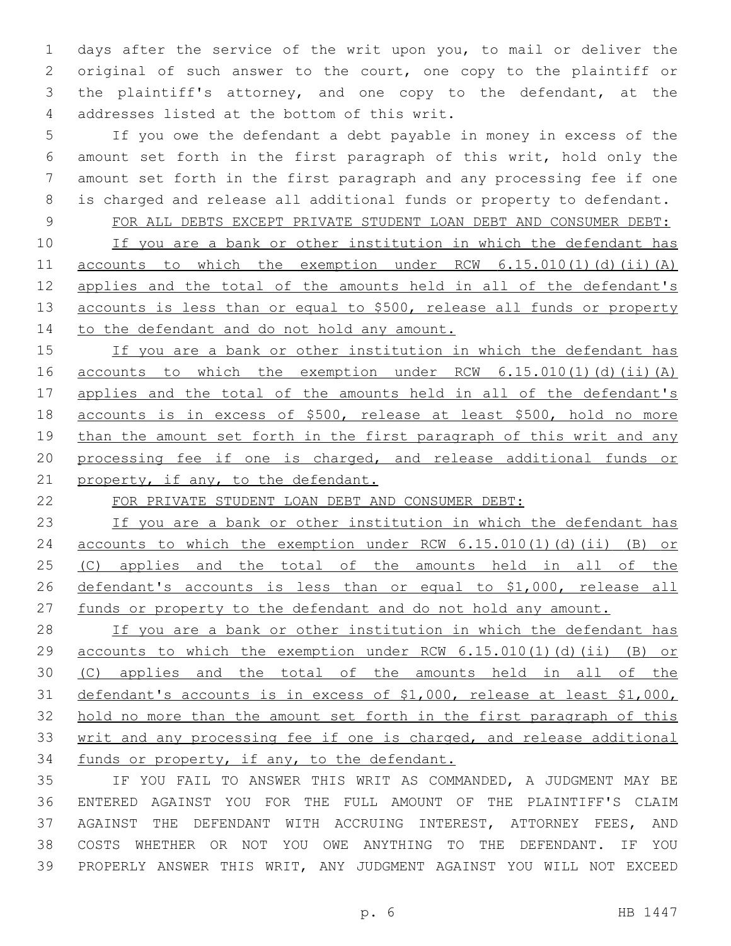days after the service of the writ upon you, to mail or deliver the original of such answer to the court, one copy to the plaintiff or the plaintiff's attorney, and one copy to the defendant, at the 4 addresses listed at the bottom of this writ.

 If you owe the defendant a debt payable in money in excess of the amount set forth in the first paragraph of this writ, hold only the amount set forth in the first paragraph and any processing fee if one is charged and release all additional funds or property to defendant.

 FOR ALL DEBTS EXCEPT PRIVATE STUDENT LOAN DEBT AND CONSUMER DEBT: 10 If you are a bank or other institution in which the defendant has accounts to which the exemption under RCW 6.15.010(1)(d)(ii)(A) applies and the total of the amounts held in all of the defendant's 13 accounts is less than or equal to \$500, release all funds or property 14 to the defendant and do not hold any amount.

 If you are a bank or other institution in which the defendant has accounts to which the exemption under RCW 6.15.010(1)(d)(ii)(A) applies and the total of the amounts held in all of the defendant's accounts is in excess of \$500, release at least \$500, hold no more 19 than the amount set forth in the first paragraph of this writ and any processing fee if one is charged, and release additional funds or 21 property, if any, to the defendant.

FOR PRIVATE STUDENT LOAN DEBT AND CONSUMER DEBT:

 If you are a bank or other institution in which the defendant has accounts to which the exemption under RCW 6.15.010(1)(d)(ii) (B) or (C) applies and the total of the amounts held in all of the defendant's accounts is less than or equal to \$1,000, release all funds or property to the defendant and do not hold any amount.

28 If you are a bank or other institution in which the defendant has accounts to which the exemption under RCW 6.15.010(1)(d)(ii) (B) or (C) applies and the total of the amounts held in all of the defendant's accounts is in excess of \$1,000, release at least \$1,000, hold no more than the amount set forth in the first paragraph of this writ and any processing fee if one is charged, and release additional funds or property, if any, to the defendant.

 IF YOU FAIL TO ANSWER THIS WRIT AS COMMANDED, A JUDGMENT MAY BE ENTERED AGAINST YOU FOR THE FULL AMOUNT OF THE PLAINTIFF'S CLAIM AGAINST THE DEFENDANT WITH ACCRUING INTEREST, ATTORNEY FEES, AND COSTS WHETHER OR NOT YOU OWE ANYTHING TO THE DEFENDANT. IF YOU PROPERLY ANSWER THIS WRIT, ANY JUDGMENT AGAINST YOU WILL NOT EXCEED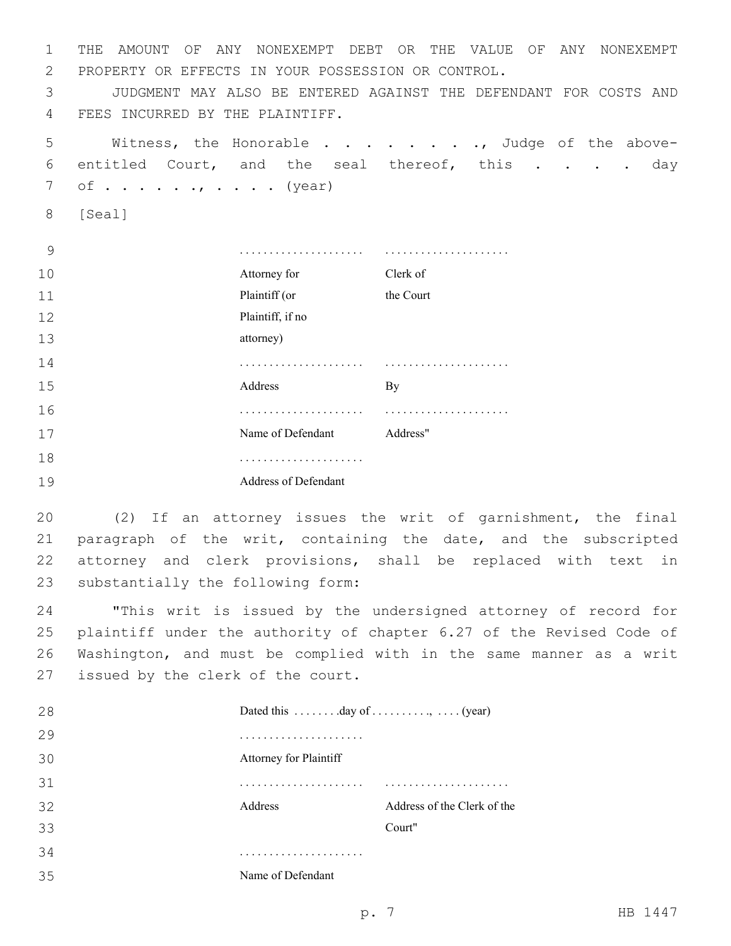1 THE AMOUNT OF ANY NONEXEMPT DEBT OR THE VALUE OF ANY NONEXEMPT 2 PROPERTY OR EFFECTS IN YOUR POSSESSION OR CONTROL.

3 JUDGMENT MAY ALSO BE ENTERED AGAINST THE DEFENDANT FOR COSTS AND 4 FEES INCURRED BY THE PLAINTIFF.

5 Witness, the Honorable . . . . . . . . Judge of the above-6 entitled Court, and the seal thereof, this . . . . day  $7 \quad \text{of} \quad \dots \quad \dots \quad \dots \quad \text{(year)}$ 

8 [Seal]

| 9  |                      |           |
|----|----------------------|-----------|
| 10 | Attorney for         | Clerk of  |
| 11 | Plaintiff (or        | the Court |
| 12 | Plaintiff, if no     |           |
| 13 | attorney)            |           |
| 14 |                      |           |
| 15 | Address              | By        |
| 16 | .                    |           |
| 17 | Name of Defendant    | Address"  |
| 18 | .                    |           |
| 19 | Address of Defendant |           |

 (2) If an attorney issues the writ of garnishment, the final paragraph of the writ, containing the date, and the subscripted attorney and clerk provisions, shall be replaced with text in 23 substantially the following form:

 "This writ is issued by the undersigned attorney of record for plaintiff under the authority of chapter 6.27 of the Revised Code of Washington, and must be complied with in the same manner as a writ 27 issued by the clerk of the court.

| 28 | Dated this $\dots \dots$ day of $\dots \dots \dots$ , $\dots$ (year) |                             |
|----|----------------------------------------------------------------------|-----------------------------|
| 29 |                                                                      |                             |
| 30 | Attorney for Plaintiff                                               |                             |
| 31 |                                                                      |                             |
| 32 | Address                                                              | Address of the Clerk of the |
| 33 |                                                                      | Court"                      |
| 34 |                                                                      |                             |
| 35 | Name of Defendant                                                    |                             |